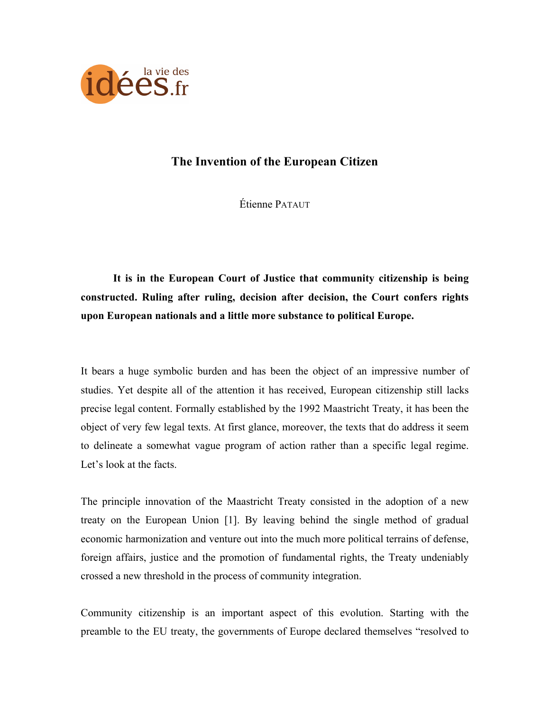

# **The Invention of the European Citizen**

Étienne PATAUT

**It is in the European Court of Justice that community citizenship is being constructed. Ruling after ruling, decision after decision, the Court confers rights upon European nationals and a little more substance to political Europe.**

It bears a huge symbolic burden and has been the object of an impressive number of studies. Yet despite all of the attention it has received, European citizenship still lacks precise legal content. Formally established by the 1992 Maastricht Treaty, it has been the object of very few legal texts. At first glance, moreover, the texts that do address it seem to delineate a somewhat vague program of action rather than a specific legal regime. Let's look at the facts.

The principle innovation of the Maastricht Treaty consisted in the adoption of a new treaty on the European Union [1]. By leaving behind the single method of gradual economic harmonization and venture out into the much more political terrains of defense, foreign affairs, justice and the promotion of fundamental rights, the Treaty undeniably crossed a new threshold in the process of community integration.

Community citizenship is an important aspect of this evolution. Starting with the preamble to the EU treaty, the governments of Europe declared themselves "resolved to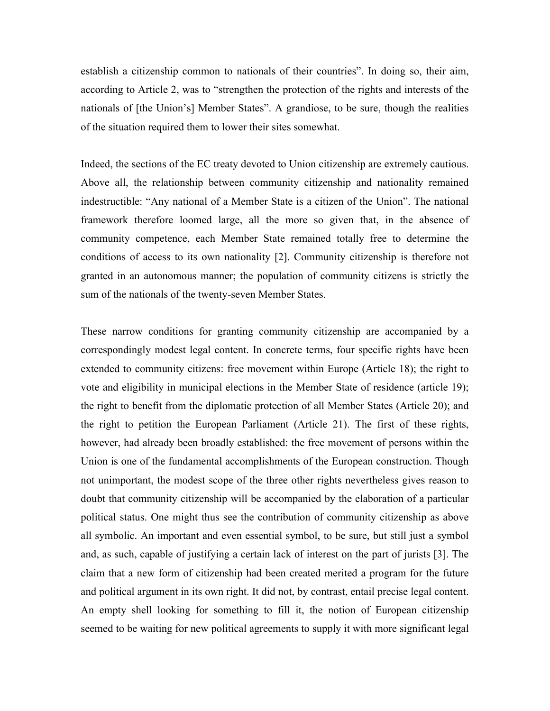establish a citizenship common to nationals of their countries". In doing so, their aim, according to Article 2, was to "strengthen the protection of the rights and interests of the nationals of [the Union's] Member States". A grandiose, to be sure, though the realities of the situation required them to lower their sites somewhat.

Indeed, the sections of the EC treaty devoted to Union citizenship are extremely cautious. Above all, the relationship between community citizenship and nationality remained indestructible: "Any national of a Member State is a citizen of the Union". The national framework therefore loomed large, all the more so given that, in the absence of community competence, each Member State remained totally free to determine the conditions of access to its own nationality [2]. Community citizenship is therefore not granted in an autonomous manner; the population of community citizens is strictly the sum of the nationals of the twenty-seven Member States.

These narrow conditions for granting community citizenship are accompanied by a correspondingly modest legal content. In concrete terms, four specific rights have been extended to community citizens: free movement within Europe (Article 18); the right to vote and eligibility in municipal elections in the Member State of residence (article 19); the right to benefit from the diplomatic protection of all Member States (Article 20); and the right to petition the European Parliament (Article 21). The first of these rights, however, had already been broadly established: the free movement of persons within the Union is one of the fundamental accomplishments of the European construction. Though not unimportant, the modest scope of the three other rights nevertheless gives reason to doubt that community citizenship will be accompanied by the elaboration of a particular political status. One might thus see the contribution of community citizenship as above all symbolic. An important and even essential symbol, to be sure, but still just a symbol and, as such, capable of justifying a certain lack of interest on the part of jurists [3]. The claim that a new form of citizenship had been created merited a program for the future and political argument in its own right. It did not, by contrast, entail precise legal content. An empty shell looking for something to fill it, the notion of European citizenship seemed to be waiting for new political agreements to supply it with more significant legal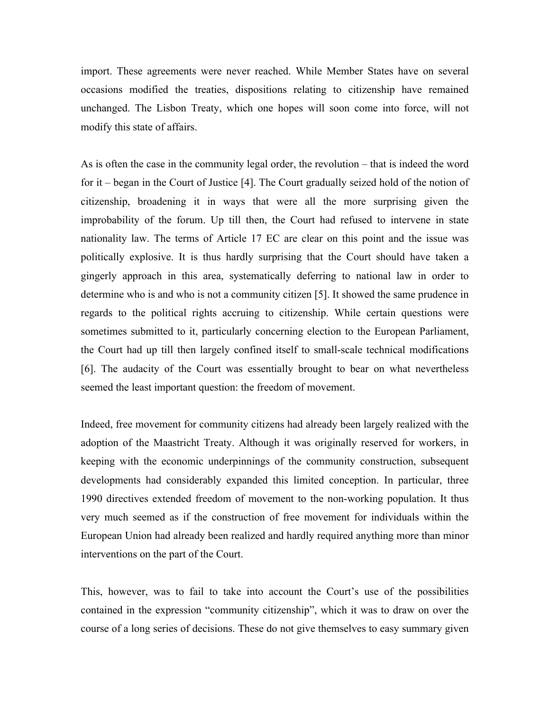import. These agreements were never reached. While Member States have on several occasions modified the treaties, dispositions relating to citizenship have remained unchanged. The Lisbon Treaty, which one hopes will soon come into force, will not modify this state of affairs.

As is often the case in the community legal order, the revolution – that is indeed the word for it – began in the Court of Justice [4]. The Court gradually seized hold of the notion of citizenship, broadening it in ways that were all the more surprising given the improbability of the forum. Up till then, the Court had refused to intervene in state nationality law. The terms of Article 17 EC are clear on this point and the issue was politically explosive. It is thus hardly surprising that the Court should have taken a gingerly approach in this area, systematically deferring to national law in order to determine who is and who is not a community citizen [5]. It showed the same prudence in regards to the political rights accruing to citizenship. While certain questions were sometimes submitted to it, particularly concerning election to the European Parliament, the Court had up till then largely confined itself to small-scale technical modifications [6]. The audacity of the Court was essentially brought to bear on what nevertheless seemed the least important question: the freedom of movement.

Indeed, free movement for community citizens had already been largely realized with the adoption of the Maastricht Treaty. Although it was originally reserved for workers, in keeping with the economic underpinnings of the community construction, subsequent developments had considerably expanded this limited conception. In particular, three 1990 directives extended freedom of movement to the non-working population. It thus very much seemed as if the construction of free movement for individuals within the European Union had already been realized and hardly required anything more than minor interventions on the part of the Court.

This, however, was to fail to take into account the Court's use of the possibilities contained in the expression "community citizenship", which it was to draw on over the course of a long series of decisions. These do not give themselves to easy summary given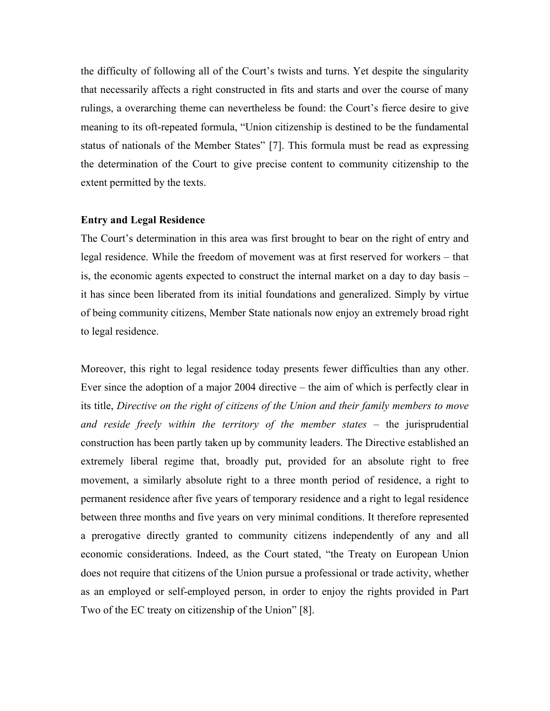the difficulty of following all of the Court's twists and turns. Yet despite the singularity that necessarily affects a right constructed in fits and starts and over the course of many rulings, a overarching theme can nevertheless be found: the Court's fierce desire to give meaning to its oft-repeated formula, "Union citizenship is destined to be the fundamental status of nationals of the Member States" [7]. This formula must be read as expressing the determination of the Court to give precise content to community citizenship to the extent permitted by the texts.

## **Entry and Legal Residence**

The Court's determination in this area was first brought to bear on the right of entry and legal residence. While the freedom of movement was at first reserved for workers – that is, the economic agents expected to construct the internal market on a day to day basis – it has since been liberated from its initial foundations and generalized. Simply by virtue of being community citizens, Member State nationals now enjoy an extremely broad right to legal residence.

Moreover, this right to legal residence today presents fewer difficulties than any other. Ever since the adoption of a major 2004 directive – the aim of which is perfectly clear in its title, *Directive on the right of citizens of the Union and their family members to move*  and reside freely within the territory of the member states – the jurisprudential construction has been partly taken up by community leaders. The Directive established an extremely liberal regime that, broadly put, provided for an absolute right to free movement, a similarly absolute right to a three month period of residence, a right to permanent residence after five years of temporary residence and a right to legal residence between three months and five years on very minimal conditions. It therefore represented a prerogative directly granted to community citizens independently of any and all economic considerations. Indeed, as the Court stated, "the Treaty on European Union does not require that citizens of the Union pursue a professional or trade activity, whether as an employed or self-employed person, in order to enjoy the rights provided in Part Two of the EC treaty on citizenship of the Union" [8].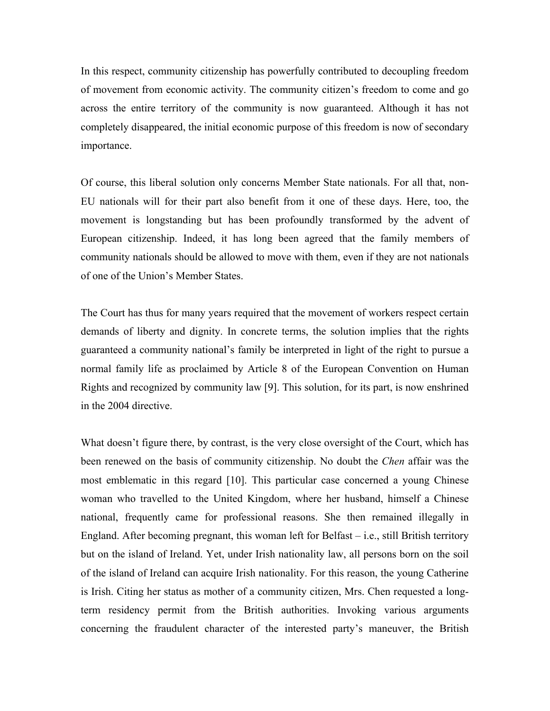In this respect, community citizenship has powerfully contributed to decoupling freedom of movement from economic activity. The community citizen's freedom to come and go across the entire territory of the community is now guaranteed. Although it has not completely disappeared, the initial economic purpose of this freedom is now of secondary importance.

Of course, this liberal solution only concerns Member State nationals. For all that, non-EU nationals will for their part also benefit from it one of these days. Here, too, the movement is longstanding but has been profoundly transformed by the advent of European citizenship. Indeed, it has long been agreed that the family members of community nationals should be allowed to move with them, even if they are not nationals of one of the Union's Member States.

The Court has thus for many years required that the movement of workers respect certain demands of liberty and dignity. In concrete terms, the solution implies that the rights guaranteed a community national's family be interpreted in light of the right to pursue a normal family life as proclaimed by Article 8 of the European Convention on Human Rights and recognized by community law [9]. This solution, for its part, is now enshrined in the 2004 directive.

What doesn't figure there, by contrast, is the very close oversight of the Court, which has been renewed on the basis of community citizenship. No doubt the *Chen* affair was the most emblematic in this regard [10]. This particular case concerned a young Chinese woman who travelled to the United Kingdom, where her husband, himself a Chinese national, frequently came for professional reasons. She then remained illegally in England. After becoming pregnant, this woman left for Belfast – i.e., still British territory but on the island of Ireland. Yet, under Irish nationality law, all persons born on the soil of the island of Ireland can acquire Irish nationality. For this reason, the young Catherine is Irish. Citing her status as mother of a community citizen, Mrs. Chen requested a longterm residency permit from the British authorities. Invoking various arguments concerning the fraudulent character of the interested party's maneuver, the British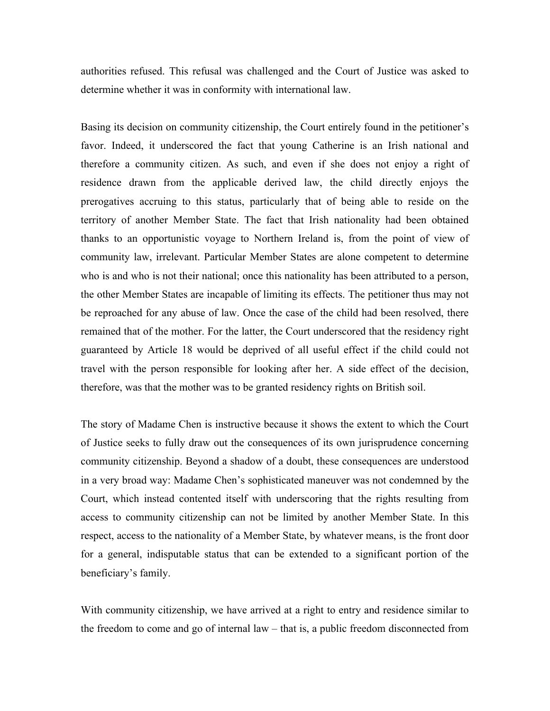authorities refused. This refusal was challenged and the Court of Justice was asked to determine whether it was in conformity with international law.

Basing its decision on community citizenship, the Court entirely found in the petitioner's favor. Indeed, it underscored the fact that young Catherine is an Irish national and therefore a community citizen. As such, and even if she does not enjoy a right of residence drawn from the applicable derived law, the child directly enjoys the prerogatives accruing to this status, particularly that of being able to reside on the territory of another Member State. The fact that Irish nationality had been obtained thanks to an opportunistic voyage to Northern Ireland is, from the point of view of community law, irrelevant. Particular Member States are alone competent to determine who is and who is not their national; once this nationality has been attributed to a person, the other Member States are incapable of limiting its effects. The petitioner thus may not be reproached for any abuse of law. Once the case of the child had been resolved, there remained that of the mother. For the latter, the Court underscored that the residency right guaranteed by Article 18 would be deprived of all useful effect if the child could not travel with the person responsible for looking after her. A side effect of the decision, therefore, was that the mother was to be granted residency rights on British soil.

The story of Madame Chen is instructive because it shows the extent to which the Court of Justice seeks to fully draw out the consequences of its own jurisprudence concerning community citizenship. Beyond a shadow of a doubt, these consequences are understood in a very broad way: Madame Chen's sophisticated maneuver was not condemned by the Court, which instead contented itself with underscoring that the rights resulting from access to community citizenship can not be limited by another Member State. In this respect, access to the nationality of a Member State, by whatever means, is the front door for a general, indisputable status that can be extended to a significant portion of the beneficiary's family.

With community citizenship, we have arrived at a right to entry and residence similar to the freedom to come and go of internal law – that is, a public freedom disconnected from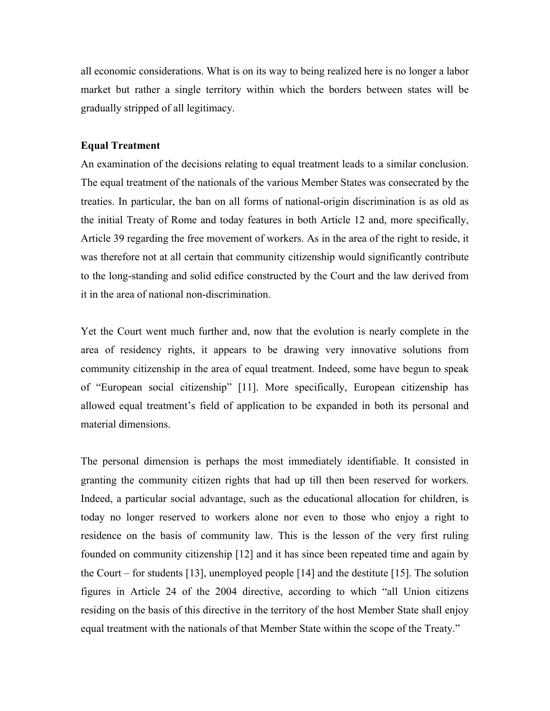all economic considerations. What is on its way to being realized here is no longer a labor market but rather a single territory within which the borders between states will be gradually stripped of all legitimacy.

## **Equal Treatment**

An examination of the decisions relating to equal treatment leads to a similar conclusion. The equal treatment of the nationals of the various Member States was consecrated by the treaties. In particular, the ban on all forms of national-origin discrimination is as old as the initial Treaty of Rome and today features in both Article 12 and, more specifically, Article 39 regarding the free movement of workers. As in the area of the right to reside, it was therefore not at all certain that community citizenship would significantly contribute to the long-standing and solid edifice constructed by the Court and the law derived from it in the area of national non-discrimination.

Yet the Court went much further and, now that the evolution is nearly complete in the area of residency rights, it appears to be drawing very innovative solutions from community citizenship in the area of equal treatment. Indeed, some have begun to speak of "European social citizenship" [11]. More specifically, European citizenship has allowed equal treatment's field of application to be expanded in both its personal and material dimensions.

The personal dimension is perhaps the most immediately identifiable. It consisted in granting the community citizen rights that had up till then been reserved for workers. Indeed, a particular social advantage, such as the educational allocation for children, is today no longer reserved to workers alone nor even to those who enjoy a right to residence on the basis of community law. This is the lesson of the very first ruling founded on community citizenship [12] and it has since been repeated time and again by the Court – for students [13], unemployed people [14] and the destitute [15]. The solution figures in Article 24 of the 2004 directive, according to which "all Union citizens residing on the basis of this directive in the territory of the host Member State shall enjoy equal treatment with the nationals of that Member State within the scope of the Treaty."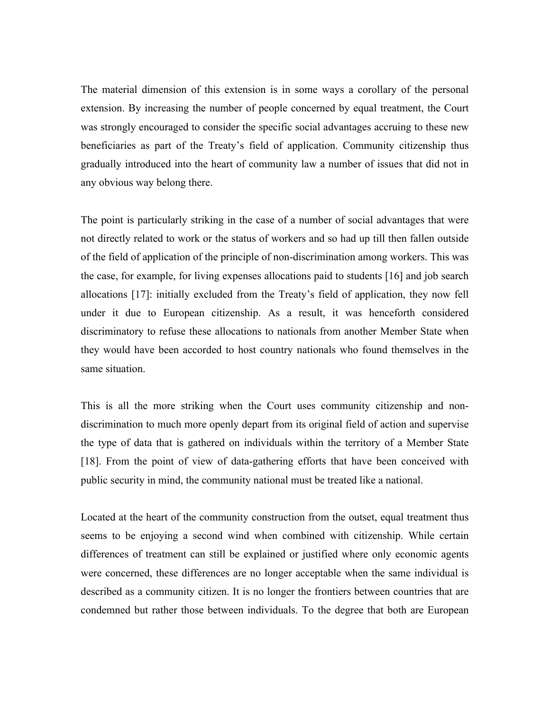The material dimension of this extension is in some ways a corollary of the personal extension. By increasing the number of people concerned by equal treatment, the Court was strongly encouraged to consider the specific social advantages accruing to these new beneficiaries as part of the Treaty's field of application. Community citizenship thus gradually introduced into the heart of community law a number of issues that did not in any obvious way belong there.

The point is particularly striking in the case of a number of social advantages that were not directly related to work or the status of workers and so had up till then fallen outside of the field of application of the principle of non-discrimination among workers. This was the case, for example, for living expenses allocations paid to students [16] and job search allocations [17]: initially excluded from the Treaty's field of application, they now fell under it due to European citizenship. As a result, it was henceforth considered discriminatory to refuse these allocations to nationals from another Member State when they would have been accorded to host country nationals who found themselves in the same situation.

This is all the more striking when the Court uses community citizenship and nondiscrimination to much more openly depart from its original field of action and supervise the type of data that is gathered on individuals within the territory of a Member State [18]. From the point of view of data-gathering efforts that have been conceived with public security in mind, the community national must be treated like a national.

Located at the heart of the community construction from the outset, equal treatment thus seems to be enjoying a second wind when combined with citizenship. While certain differences of treatment can still be explained or justified where only economic agents were concerned, these differences are no longer acceptable when the same individual is described as a community citizen. It is no longer the frontiers between countries that are condemned but rather those between individuals. To the degree that both are European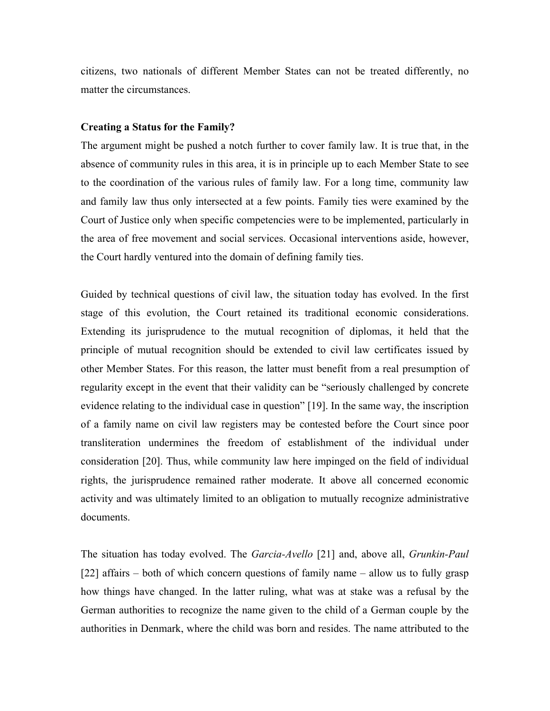citizens, two nationals of different Member States can not be treated differently, no matter the circumstances.

## **Creating a Status for the Family?**

The argument might be pushed a notch further to cover family law. It is true that, in the absence of community rules in this area, it is in principle up to each Member State to see to the coordination of the various rules of family law. For a long time, community law and family law thus only intersected at a few points. Family ties were examined by the Court of Justice only when specific competencies were to be implemented, particularly in the area of free movement and social services. Occasional interventions aside, however, the Court hardly ventured into the domain of defining family ties.

Guided by technical questions of civil law, the situation today has evolved. In the first stage of this evolution, the Court retained its traditional economic considerations. Extending its jurisprudence to the mutual recognition of diplomas, it held that the principle of mutual recognition should be extended to civil law certificates issued by other Member States. For this reason, the latter must benefit from a real presumption of regularity except in the event that their validity can be "seriously challenged by concrete evidence relating to the individual case in question" [19]. In the same way, the inscription of a family name on civil law registers may be contested before the Court since poor transliteration undermines the freedom of establishment of the individual under consideration [20]. Thus, while community law here impinged on the field of individual rights, the jurisprudence remained rather moderate. It above all concerned economic activity and was ultimately limited to an obligation to mutually recognize administrative documents.

The situation has today evolved. The *Garcia-Avello* [21] and, above all, *Grunkin-Paul* [22] affairs – both of which concern questions of family name – allow us to fully grasp how things have changed. In the latter ruling, what was at stake was a refusal by the German authorities to recognize the name given to the child of a German couple by the authorities in Denmark, where the child was born and resides. The name attributed to the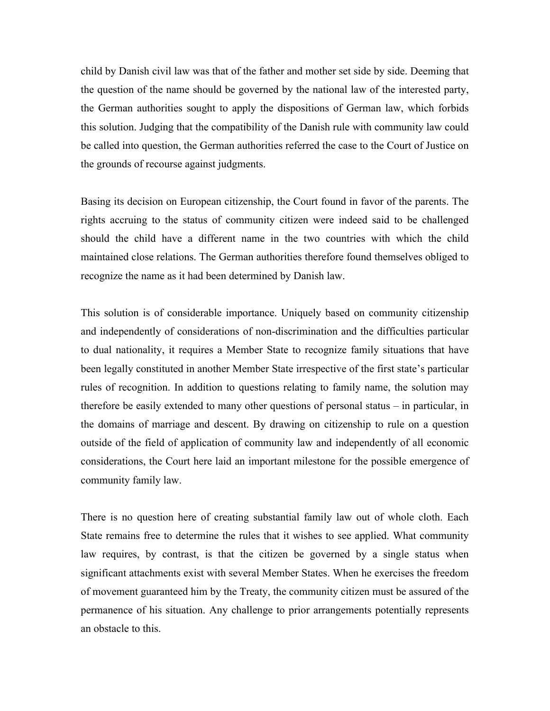child by Danish civil law was that of the father and mother set side by side. Deeming that the question of the name should be governed by the national law of the interested party, the German authorities sought to apply the dispositions of German law, which forbids this solution. Judging that the compatibility of the Danish rule with community law could be called into question, the German authorities referred the case to the Court of Justice on the grounds of recourse against judgments.

Basing its decision on European citizenship, the Court found in favor of the parents. The rights accruing to the status of community citizen were indeed said to be challenged should the child have a different name in the two countries with which the child maintained close relations. The German authorities therefore found themselves obliged to recognize the name as it had been determined by Danish law.

This solution is of considerable importance. Uniquely based on community citizenship and independently of considerations of non-discrimination and the difficulties particular to dual nationality, it requires a Member State to recognize family situations that have been legally constituted in another Member State irrespective of the first state's particular rules of recognition. In addition to questions relating to family name, the solution may therefore be easily extended to many other questions of personal status – in particular, in the domains of marriage and descent. By drawing on citizenship to rule on a question outside of the field of application of community law and independently of all economic considerations, the Court here laid an important milestone for the possible emergence of community family law.

There is no question here of creating substantial family law out of whole cloth. Each State remains free to determine the rules that it wishes to see applied. What community law requires, by contrast, is that the citizen be governed by a single status when significant attachments exist with several Member States. When he exercises the freedom of movement guaranteed him by the Treaty, the community citizen must be assured of the permanence of his situation. Any challenge to prior arrangements potentially represents an obstacle to this.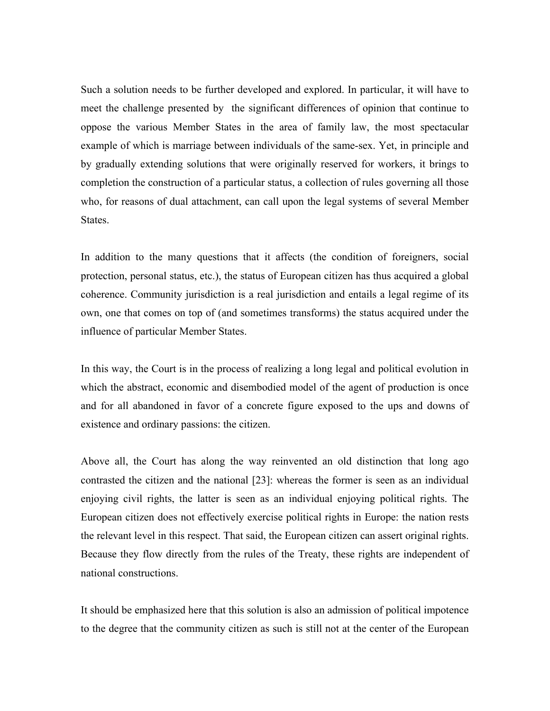Such a solution needs to be further developed and explored. In particular, it will have to meet the challenge presented by the significant differences of opinion that continue to oppose the various Member States in the area of family law, the most spectacular example of which is marriage between individuals of the same-sex. Yet, in principle and by gradually extending solutions that were originally reserved for workers, it brings to completion the construction of a particular status, a collection of rules governing all those who, for reasons of dual attachment, can call upon the legal systems of several Member States.

In addition to the many questions that it affects (the condition of foreigners, social protection, personal status, etc.), the status of European citizen has thus acquired a global coherence. Community jurisdiction is a real jurisdiction and entails a legal regime of its own, one that comes on top of (and sometimes transforms) the status acquired under the influence of particular Member States.

In this way, the Court is in the process of realizing a long legal and political evolution in which the abstract, economic and disembodied model of the agent of production is once and for all abandoned in favor of a concrete figure exposed to the ups and downs of existence and ordinary passions: the citizen.

Above all, the Court has along the way reinvented an old distinction that long ago contrasted the citizen and the national [23]: whereas the former is seen as an individual enjoying civil rights, the latter is seen as an individual enjoying political rights. The European citizen does not effectively exercise political rights in Europe: the nation rests the relevant level in this respect. That said, the European citizen can assert original rights. Because they flow directly from the rules of the Treaty, these rights are independent of national constructions.

It should be emphasized here that this solution is also an admission of political impotence to the degree that the community citizen as such is still not at the center of the European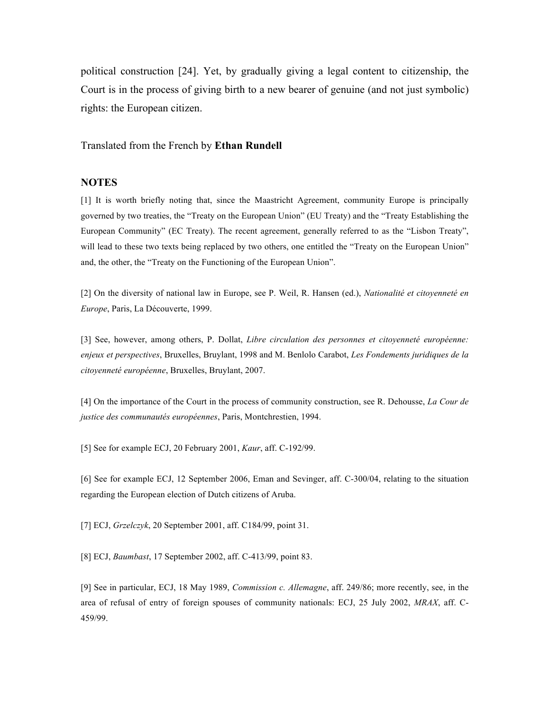political construction [24]. Yet, by gradually giving a legal content to citizenship, the Court is in the process of giving birth to a new bearer of genuine (and not just symbolic) rights: the European citizen.

Translated from the French by **Ethan Rundell**

## **NOTES**

[1] It is worth briefly noting that, since the Maastricht Agreement, community Europe is principally governed by two treaties, the "Treaty on the European Union" (EU Treaty) and the "Treaty Establishing the European Community" (EC Treaty). The recent agreement, generally referred to as the "Lisbon Treaty", will lead to these two texts being replaced by two others, one entitled the "Treaty on the European Union" and, the other, the "Treaty on the Functioning of the European Union".

[2] On the diversity of national law in Europe, see P. Weil, R. Hansen (ed.), *Nationalité et citoyenneté en Europe*, Paris, La Découverte, 1999.

[3] See, however, among others, P. Dollat, *Libre circulation des personnes et citoyenneté européenne: enjeux et perspectives*, Bruxelles, Bruylant, 1998 and M. Benlolo Carabot, *Les Fondements juridiques de la citoyenneté européenne*, Bruxelles, Bruylant, 2007.

[4] On the importance of the Court in the process of community construction, see R. Dehousse, *La Cour de justice des communautés européennes*, Paris, Montchrestien, 1994.

[5] See for example ECJ, 20 February 2001, *Kaur*, aff. C-192/99.

[6] See for example ECJ, 12 September 2006, Eman and Sevinger, aff. C-300/04, relating to the situation regarding the European election of Dutch citizens of Aruba.

[7] ECJ, *Grzelczyk*, 20 September 2001, aff. C184/99, point 31.

[8] ECJ, *Baumbast*, 17 September 2002, aff. C-413/99, point 83.

[9] See in particular, ECJ, 18 May 1989, *Commission c. Allemagne*, aff. 249/86; more recently, see, in the area of refusal of entry of foreign spouses of community nationals: ECJ, 25 July 2002, *MRAX*, aff. C-459/99.